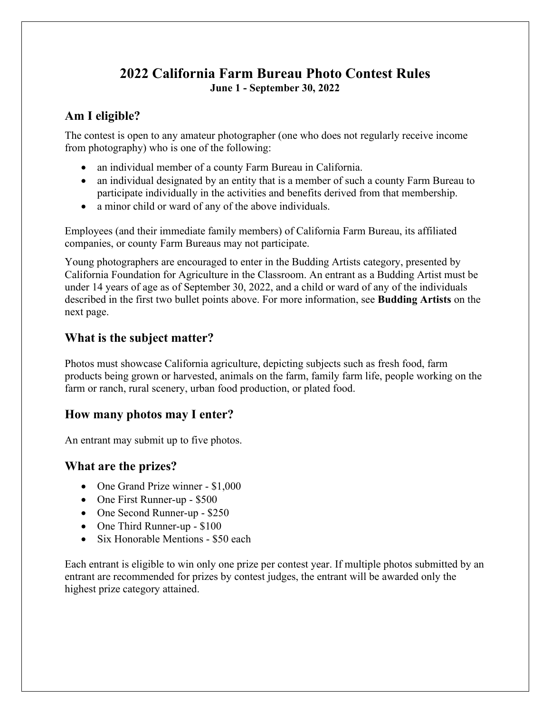# **2022 California Farm Bureau Photo Contest Rules June 1 - September 30, 2022**

# **Am I eligible?**

The contest is open to any amateur photographer (one who does not regularly receive income from photography) who is one of the following:

- an individual member of a county Farm Bureau in California.
- an individual designated by an entity that is a member of such a county Farm Bureau to participate individually in the activities and benefits derived from that membership.
- a minor child or ward of any of the above individuals.

Employees (and their immediate family members) of California Farm Bureau, its affiliated companies, or county Farm Bureaus may not participate.

Young photographers are encouraged to enter in the Budding Artists category, presented by California Foundation for Agriculture in the Classroom. An entrant as a Budding Artist must be under 14 years of age as of September 30, 2022, and a child or ward of any of the individuals described in the first two bullet points above. For more information, see **Budding Artists** on the next page.

# **What is the subject matter?**

Photos must showcase California agriculture, depicting subjects such as fresh food, farm products being grown or harvested, animals on the farm, family farm life, people working on the farm or ranch, rural scenery, urban food production, or plated food.

# **How many photos may I enter?**

An entrant may submit up to five photos.

### **What are the prizes?**

- One Grand Prize winner \$1,000
- One First Runner-up \$500
- One Second Runner-up \$250
- One Third Runner-up \$100
- Six Honorable Mentions \$50 each

Each entrant is eligible to win only one prize per contest year. If multiple photos submitted by an entrant are recommended for prizes by contest judges, the entrant will be awarded only the highest prize category attained.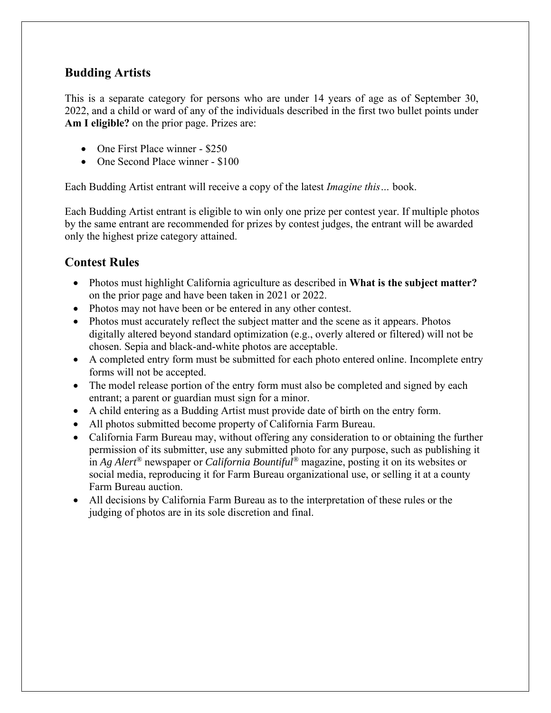## **Budding Artists**

This is a separate category for persons who are under 14 years of age as of September 30, 2022, and a child or ward of any of the individuals described in the first two bullet points under **Am I eligible?** on the prior page. Prizes are:

- One First Place winner \$250
- One Second Place winner \$100

Each Budding Artist entrant will receive a copy of the latest *Imagine this…* book.

Each Budding Artist entrant is eligible to win only one prize per contest year. If multiple photos by the same entrant are recommended for prizes by contest judges, the entrant will be awarded only the highest prize category attained.

## **Contest Rules**

- Photos must highlight California agriculture as described in **What is the subject matter?** on the prior page and have been taken in 2021 or 2022.
- Photos may not have been or be entered in any other contest.
- Photos must accurately reflect the subject matter and the scene as it appears. Photos digitally altered beyond standard optimization (e.g., overly altered or filtered) will not be chosen. Sepia and black-and-white photos are acceptable.
- A completed entry form must be submitted for each photo entered online. Incomplete entry forms will not be accepted.
- The model release portion of the entry form must also be completed and signed by each entrant; a parent or guardian must sign for a minor.
- A child entering as a Budding Artist must provide date of birth on the entry form.
- All photos submitted become property of California Farm Bureau.
- California Farm Bureau may, without offering any consideration to or obtaining the further permission of its submitter, use any submitted photo for any purpose, such as publishing it in *Ag Alert®* newspaper or *California Bountiful®* magazine, posting it on its websites or social media, reproducing it for Farm Bureau organizational use, or selling it at a county Farm Bureau auction.
- All decisions by California Farm Bureau as to the interpretation of these rules or the judging of photos are in its sole discretion and final.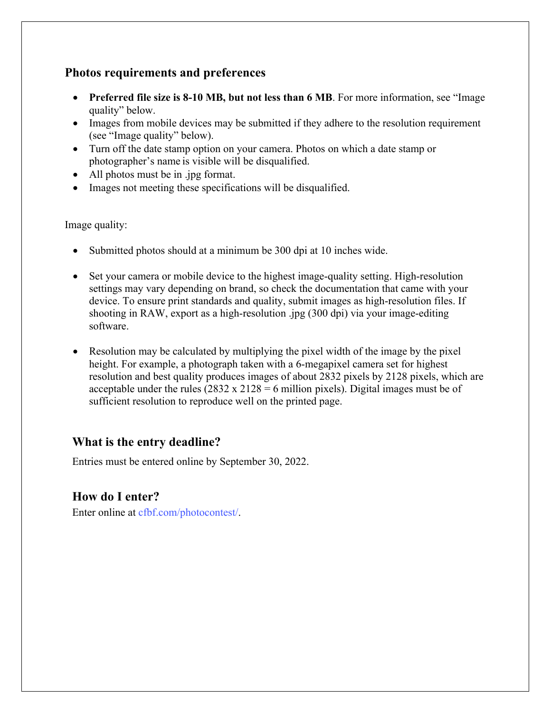#### **Photos requirements and preferences**

- **Preferred file size is 8-10 MB, but not less than 6 MB**. For more information, see "Image" quality" below.
- Images from mobile devices may be submitted if they adhere to the resolution requirement (see "Image quality" below).
- Turn off the date stamp option on your camera. Photos on which a date stamp or photographer's name is visible will be disqualified.
- All photos must be in .jpg format.
- Images not meeting these specifications will be disqualified.

#### Image quality:

- Submitted photos should at a minimum be 300 dpi at 10 inches wide.
- Set your camera or mobile device to the highest image-quality setting. High-resolution settings may vary depending on brand, so check the documentation that came with your device. To ensure print standards and quality, submit images as high-resolution files. If shooting in RAW, export as a high-resolution .jpg (300 dpi) via your image-editing software.
- Resolution may be calculated by multiplying the pixel width of the image by the pixel height. For example, a photograph taken with a 6-megapixel camera set for highest resolution and best quality produces images of about 2832 pixels by 2128 pixels, which are acceptable under the rules  $(2832 \times 2128 = 6$  million pixels). Digital images must be of sufficient resolution to reproduce well on the printed page.

# **What is the entry deadline?**

Entries must be entered online by September 30, 2022.

**How do I enter?**  Enter online at cfbf.com/photocontest/.